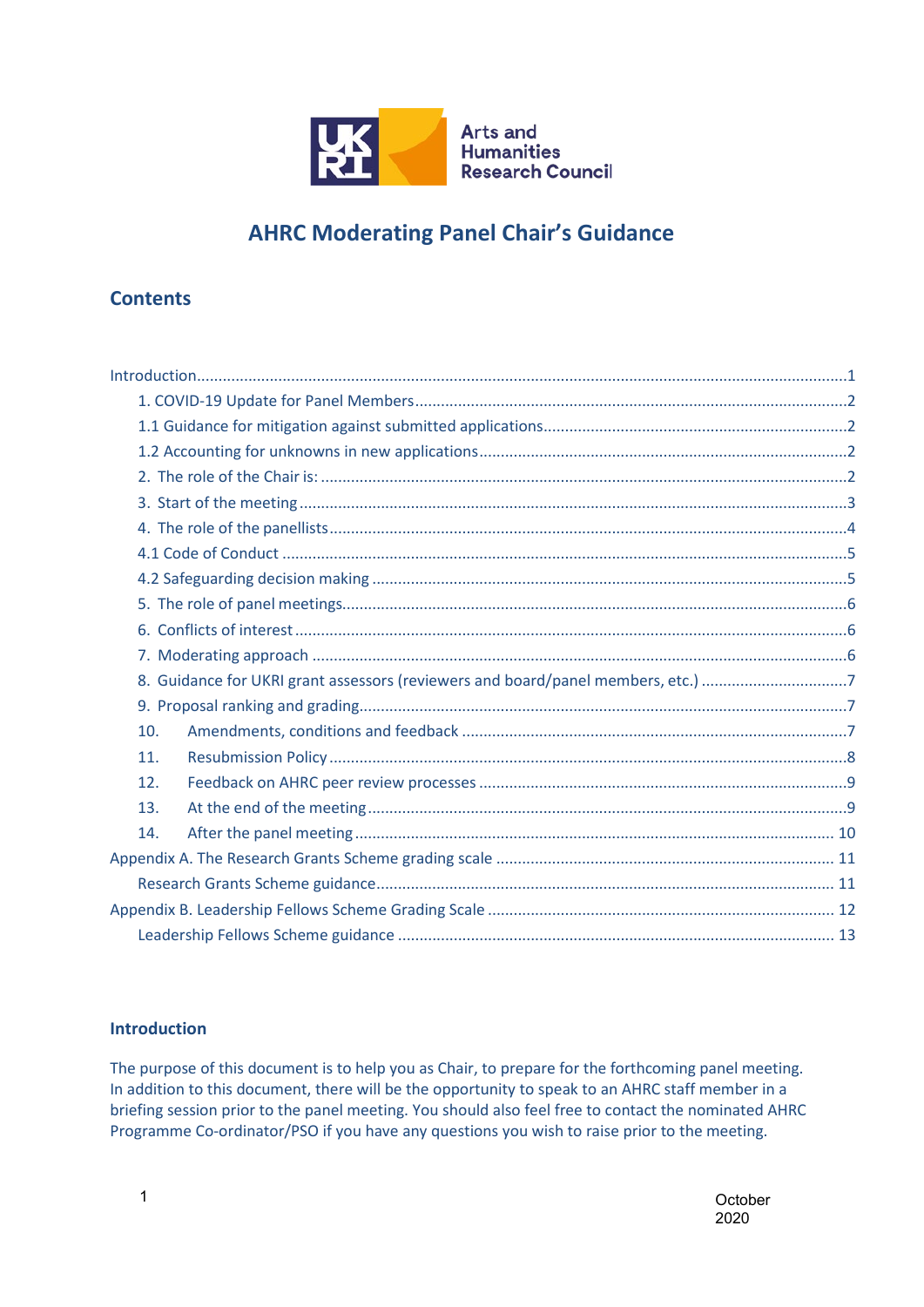

# **AHRC Moderating Panel Chair's Guidance**

## **Contents**

## <span id="page-0-0"></span>**Introduction**

The purpose of this document is to help you as Chair, to prepare for the forthcoming panel meeting. In addition to this document, there will be the opportunity to speak to an AHRC staff member in a briefing session prior to the panel meeting. You should also feel free to contact the nominated AHRC Programme Co-ordinator/PSO if you have any questions you wish to raise prior to the meeting.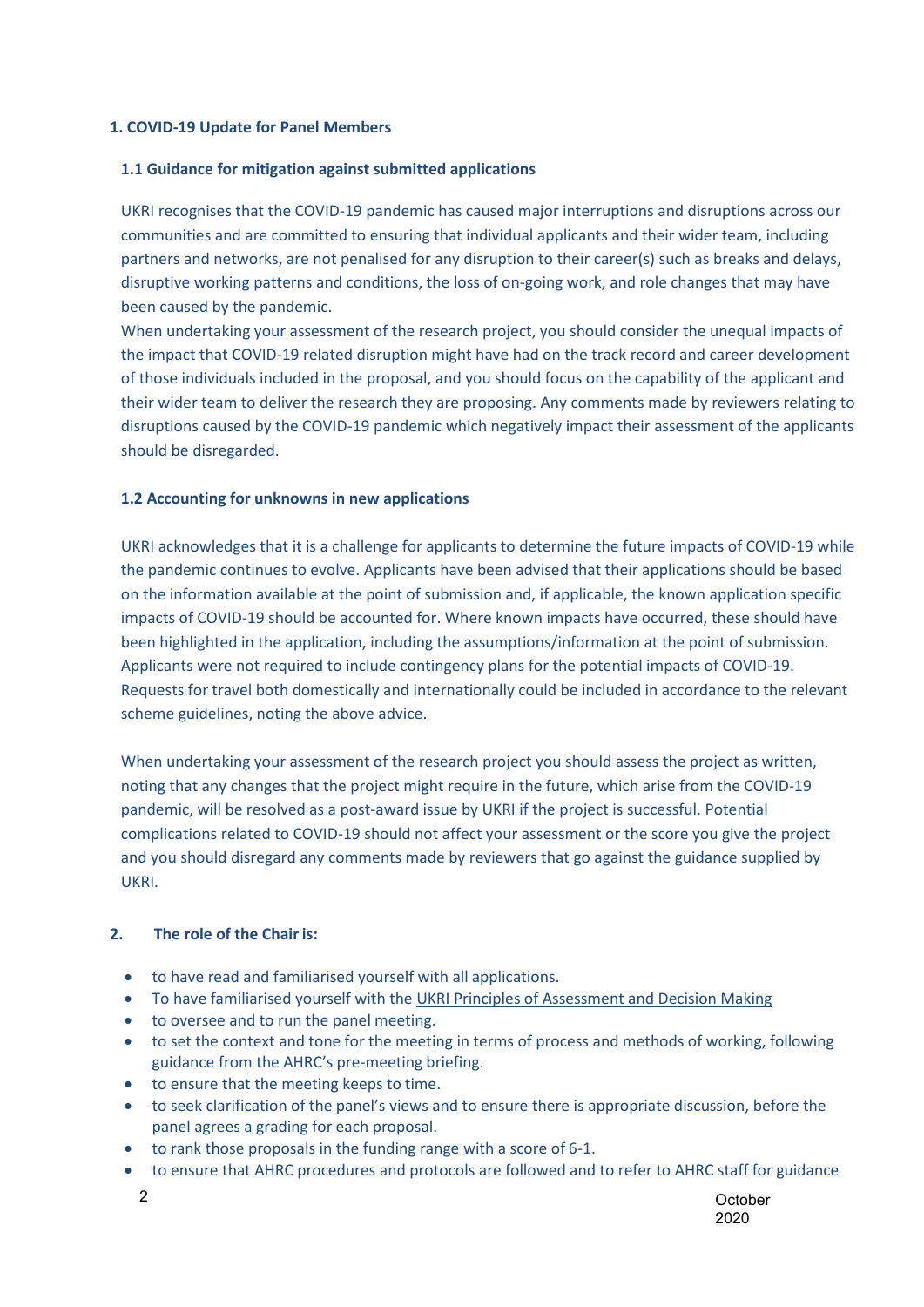### <span id="page-1-0"></span>**1. COVID-19 Update for Panel Members**

#### <span id="page-1-1"></span>**1.1 Guidance for mitigation against submitted applications**

UKRI recognises that the COVID-19 pandemic has caused major interruptions and disruptions across our communities and are committed to ensuring that individual applicants and their wider team, including partners and networks, are not penalised for any disruption to their career(s) such as breaks and delays, disruptive working patterns and conditions, the loss of on-going work, and role changes that may have been caused by the pandemic.

When undertaking your assessment of the research project, you should consider the unequal impacts of the impact that COVID-19 related disruption might have had on the track record and career development of those individuals included in the proposal, and you should focus on the capability of the applicant and their wider team to deliver the research they are proposing. Any comments made by reviewers relating to disruptions caused by the COVID-19 pandemic which negatively impact their assessment of the applicants should be disregarded.

## <span id="page-1-2"></span>**1.2 Accounting for unknowns in new applications**

UKRI acknowledges that it is a challenge for applicants to determine the future impacts of COVID-19 while the pandemic continues to evolve. Applicants have been advised that their applications should be based on the information available at the point of submission and, if applicable, the known application specific impacts of COVID-19 should be accounted for. Where known impacts have occurred, these should have been highlighted in the application, including the assumptions/information at the point of submission. Applicants were not required to include contingency plans for the potential impacts of COVID-19. Requests for travel both domestically and internationally could be included in accordance to the relevant scheme guidelines, noting the above advice.

When undertaking your assessment of the research project you should assess the project as written, noting that any changes that the project might require in the future, which arise from the COVID-19 pandemic, will be resolved as a post-award issue by UKRI if the project is successful. Potential complications related to COVID-19 should not affect your assessment or the score you give the project and you should disregard any comments made by reviewers that go against the guidance supplied by UKRI.

## <span id="page-1-3"></span>**2. The role of the Chair is:**

- to have read and familiarised yourself with all applications.
- To have familiarised yourself with th[e UKRI Principles of Assessment and Decision Making](https://www.ukri.org/wp-content/uploads/2020/10/UKRI-07102020-PrinciplesofAssessmentandDecisionMaking.pdf)
- to oversee and to run the panel meeting.
- to set the context and tone for the meeting in terms of process and methods of working, following guidance from the AHRC's pre-meeting briefing.
- to ensure that the meeting keeps to time.
- to seek clarification of the panel's views and to ensure there is appropriate discussion, before the panel agrees a grading for each proposal.
- to rank those proposals in the funding range with a score of 6-1.
- to ensure that AHRC procedures and protocols are followed and to refer to AHRC staff for guidance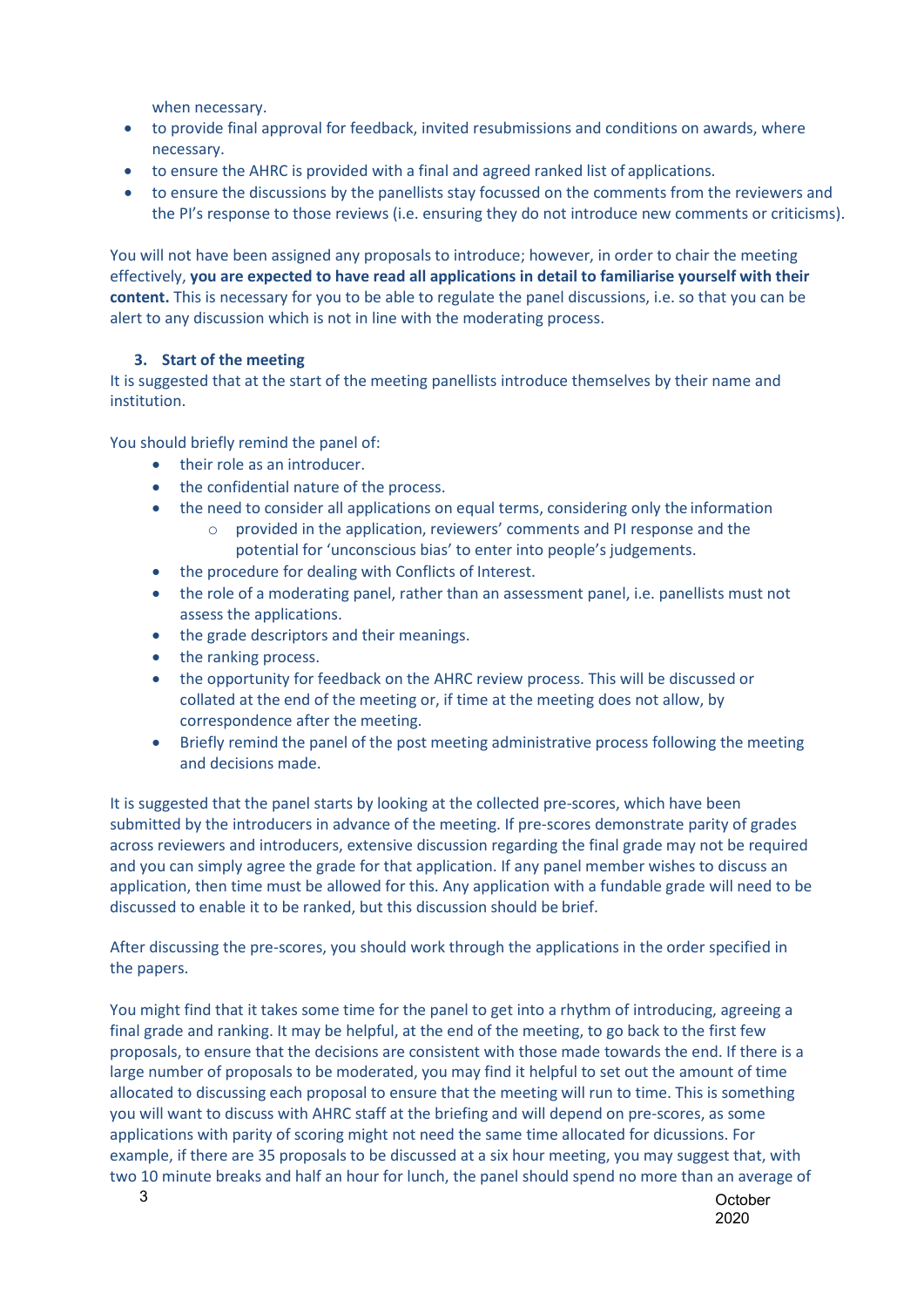when necessary.

- to provide final approval for feedback, invited resubmissions and conditions on awards, where necessary.
- to ensure the AHRC is provided with a final and agreed ranked list of applications.
- to ensure the discussions by the panellists stay focussed on the comments from the reviewers and the PI's response to those reviews (i.e. ensuring they do not introduce new comments or criticisms).

You will not have been assigned any proposals to introduce; however, in order to chair the meeting effectively, **you are expected to have read all applications in detail to familiarise yourself with their content.** This is necessary for you to be able to regulate the panel discussions, i.e. so that you can be alert to any discussion which is not in line with the moderating process.

## <span id="page-2-0"></span>**3. Start of the meeting**

It is suggested that at the start of the meeting panellists introduce themselves by their name and institution.

You should briefly remind the panel of:

- their role as an introducer.
- the confidential nature of the process.
- the need to consider all applications on equal terms, considering only the information
	- o provided in the application, reviewers' comments and PI response and the potential for 'unconscious bias' to enter into people's judgements.
- the procedure for dealing with Conflicts of Interest.
- the role of a moderating panel, rather than an assessment panel, i.e. panellists must not assess the applications.
- the grade descriptors and their meanings.
- the ranking process.
- the opportunity for feedback on the AHRC review process. This will be discussed or collated at the end of the meeting or, if time at the meeting does not allow, by correspondence after the meeting.
- Briefly remind the panel of the post meeting administrative process following the meeting and decisions made.

It is suggested that the panel starts by looking at the collected pre-scores, which have been submitted by the introducers in advance of the meeting. If pre-scores demonstrate parity of grades across reviewers and introducers, extensive discussion regarding the final grade may not be required and you can simply agree the grade for that application. If any panel member wishes to discuss an application, then time must be allowed for this. Any application with a fundable grade will need to be discussed to enable it to be ranked, but this discussion should be brief.

After discussing the pre-scores, you should work through the applications in the order specified in the papers.

You might find that it takes some time for the panel to get into a rhythm of introducing, agreeing a final grade and ranking. It may be helpful, at the end of the meeting, to go back to the first few proposals, to ensure that the decisions are consistent with those made towards the end. If there is a large number of proposals to be moderated, you may find it helpful to set out the amount of time allocated to discussing each proposal to ensure that the meeting will run to time. This is something you will want to discuss with AHRC staff at the briefing and will depend on pre-scores, as some applications with parity of scoring might not need the same time allocated for dicussions. For example, if there are 35 proposals to be discussed at a six hour meeting, you may suggest that, with two 10 minute breaks and half an hour for lunch, the panel should spend no more than an average of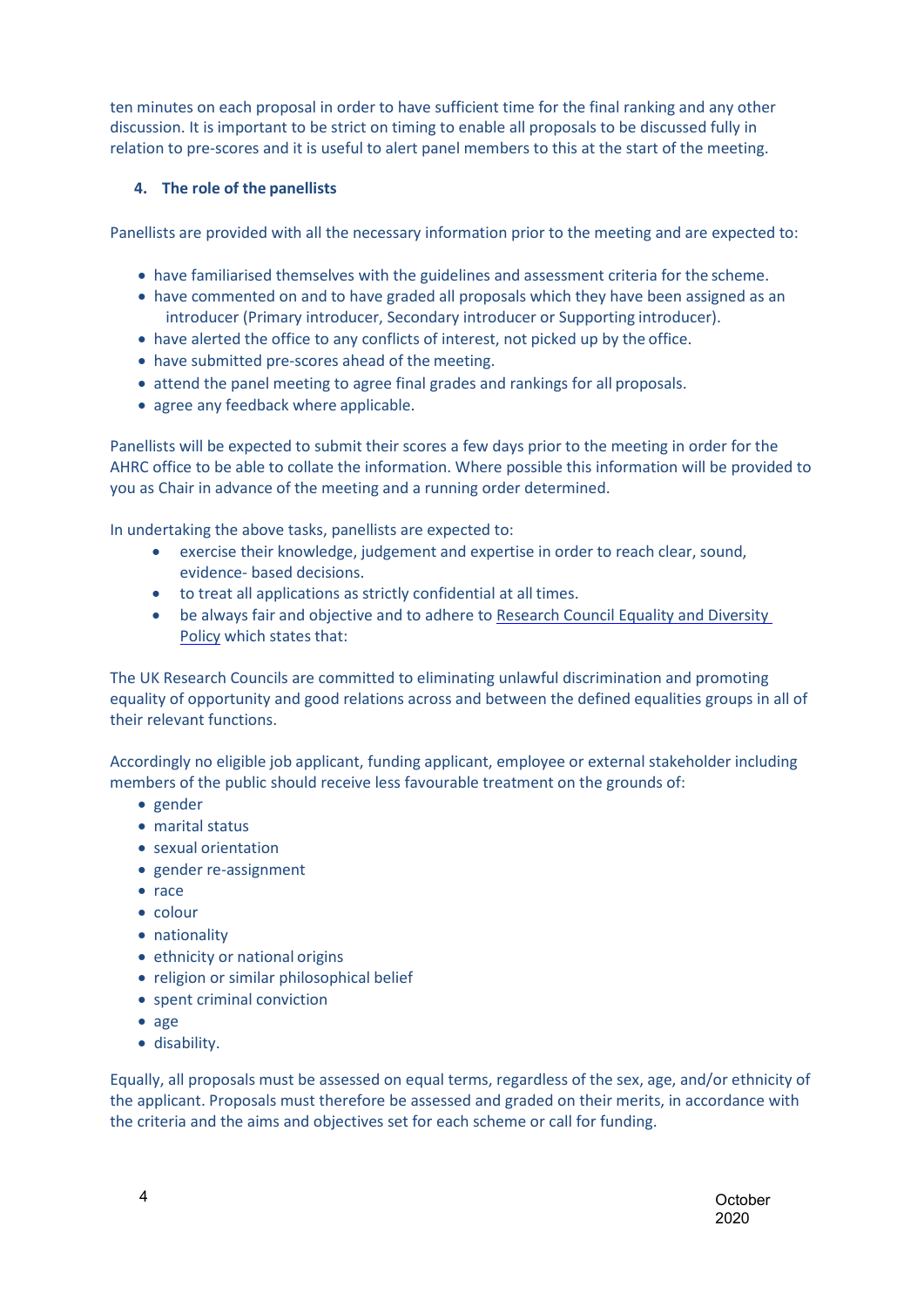ten minutes on each proposal in order to have sufficient time for the final ranking and any other discussion. It is important to be strict on timing to enable all proposals to be discussed fully in relation to pre-scores and it is useful to alert panel members to this at the start of the meeting.

## **4. The role of the panellists**

<span id="page-3-0"></span>Panellists are provided with all the necessary information prior to the meeting and are expected to:

- have familiarised themselves with the guidelines and assessment criteria for the scheme.
- have commented on and to have graded all proposals which they have been assigned as an introducer (Primary introducer, Secondary introducer or Supporting introducer).
- have alerted the office to any conflicts of interest, not picked up by the office.
- have submitted pre-scores ahead of the meeting.
- attend the panel meeting to agree final grades and rankings for all proposals.
- agree any feedback where applicable.

Panellists will be expected to submit their scores a few days prior to the meeting in order for the AHRC office to be able to collate the information. Where possible this information will be provided to you as Chair in advance of the meeting and a running order determined.

In undertaking the above tasks, panellists are expected to:

- exercise their knowledge, judgement and expertise in order to reach clear, sound, evidence- based decisions.
- to treat all applications as strictly confidential at all times.
- be always fair and objective and to adhere to [Research Council Equality and Diversity](http://www.ahrc.ac.uk/peerreview/resources/reviewprocess/reviewerguidance/equality-diversity/)  [Policy](http://www.ahrc.ac.uk/peerreview/resources/reviewprocess/reviewerguidance/equality-diversity/) which states that:

The UK Research Councils are committed to eliminating unlawful discrimination and promoting equality of opportunity and good relations across and between the defined equalities groups in all of their relevant functions.

Accordingly no eligible job applicant, funding applicant, employee or external stakeholder including members of the public should receive less favourable treatment on the grounds of:

- gender
- marital status
- sexual orientation
- gender re-assignment
- race
- colour
- nationality
- ethnicity or national origins
- religion or similar philosophical belief
- spent criminal conviction
- age
- disability.

Equally, all proposals must be assessed on equal terms, regardless of the sex, age, and/or ethnicity of the applicant. Proposals must therefore be assessed and graded on their merits, in accordance with the criteria and the aims and objectives set for each scheme or call for funding.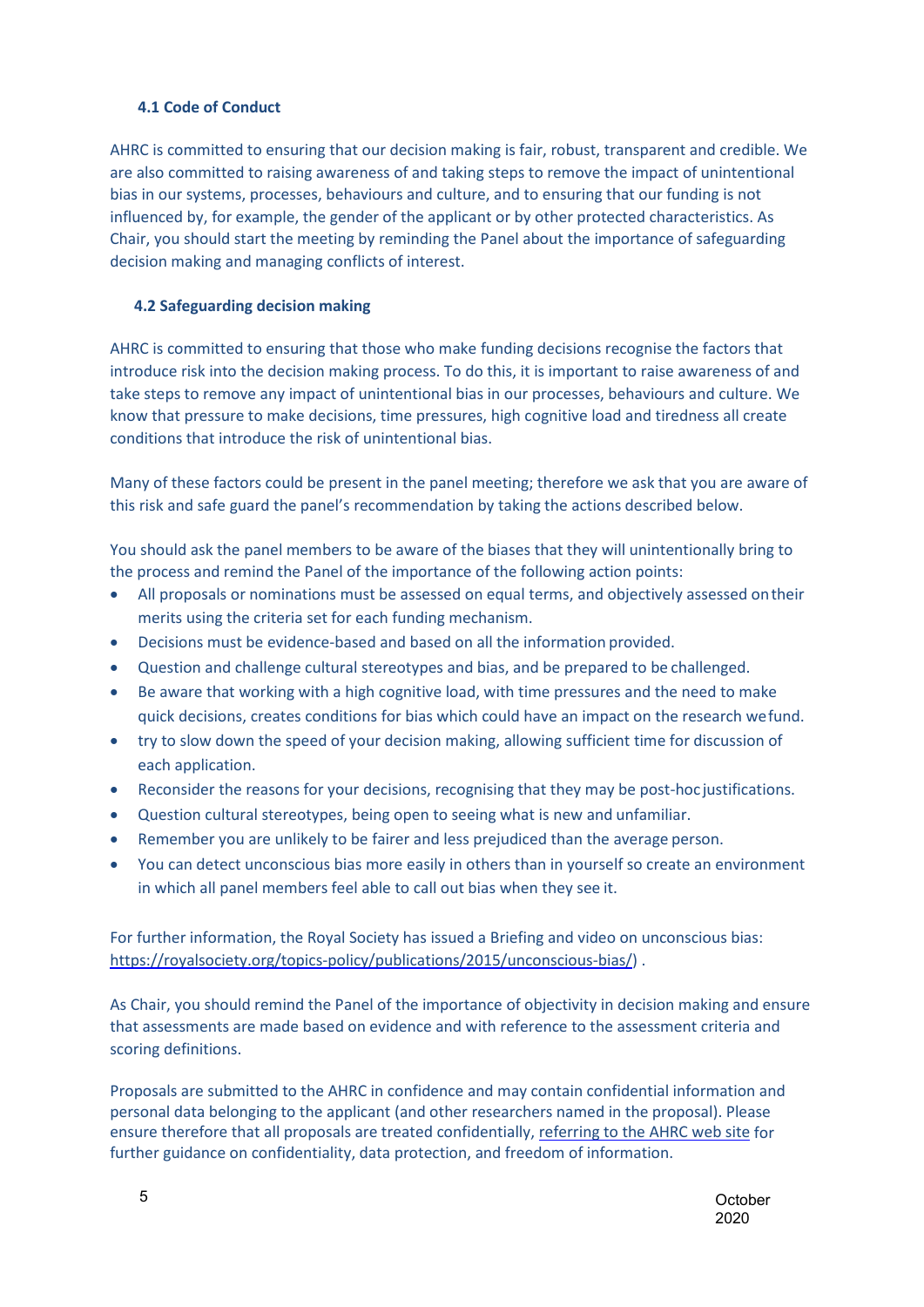### **4.1 Code of Conduct**

<span id="page-4-0"></span>AHRC is committed to ensuring that our decision making is fair, robust, transparent and credible. We are also committed to raising awareness of and taking steps to remove the impact of unintentional bias in our systems, processes, behaviours and culture, and to ensuring that our funding is not influenced by, for example, the gender of the applicant or by other protected characteristics. As Chair, you should start the meeting by reminding the Panel about the importance of safeguarding decision making and managing conflicts of interest.

#### **4.2 Safeguarding decision making**

<span id="page-4-1"></span>AHRC is committed to ensuring that those who make funding decisions recognise the factors that introduce risk into the decision making process. To do this, it is important to raise awareness of and take steps to remove any impact of unintentional bias in our processes, behaviours and culture. We know that pressure to make decisions, time pressures, high cognitive load and tiredness all create conditions that introduce the risk of unintentional bias.

Many of these factors could be present in the panel meeting; therefore we ask that you are aware of this risk and safe guard the panel's recommendation by taking the actions described below.

You should ask the panel members to be aware of the biases that they will unintentionally bring to the process and remind the Panel of the importance of the following action points:

- All proposals or nominations must be assessed on equal terms, and objectively assessed ontheir merits using the criteria set for each funding mechanism.
- Decisions must be evidence-based and based on all the information provided.
- Question and challenge cultural stereotypes and bias, and be prepared to be challenged.
- Be aware that working with a high cognitive load, with time pressures and the need to make quick decisions, creates conditions for bias which could have an impact on the research wefund.
- try to slow down the speed of your decision making, allowing sufficient time for discussion of each application.
- Reconsider the reasons for your decisions, recognising that they may be post-hoc justifications.
- Question cultural stereotypes, being open to seeing what is new and unfamiliar.
- Remember you are unlikely to be fairer and less prejudiced than the average person.
- You can detect unconscious bias more easily in others than in yourself so create an environment in which all panel members feel able to call out bias when they see it.

For further information, the Royal Society has issued a Briefing and video on unconscious bias: [https://royalsociety.org/topics-policy/publications/2015/unconscious-bias/\)](https://royalsociety.org/topics-policy/publications/2015/unconscious-bias/) .

As Chair, you should remind the Panel of the importance of objectivity in decision making and ensure that assessments are made based on evidence and with reference to the assessment criteria and scoring definitions.

Proposals are submitted to the AHRC in confidence and may contain confidential information and personal data belonging to the applicant (and other researchers named in the proposal). Please ensure therefore that all proposals are treated confidentially[, referring to the AHRC web site](http://www.ahrc.ac.uk/about/policies/) for further guidance on confidentiality, data protection, and freedom of information.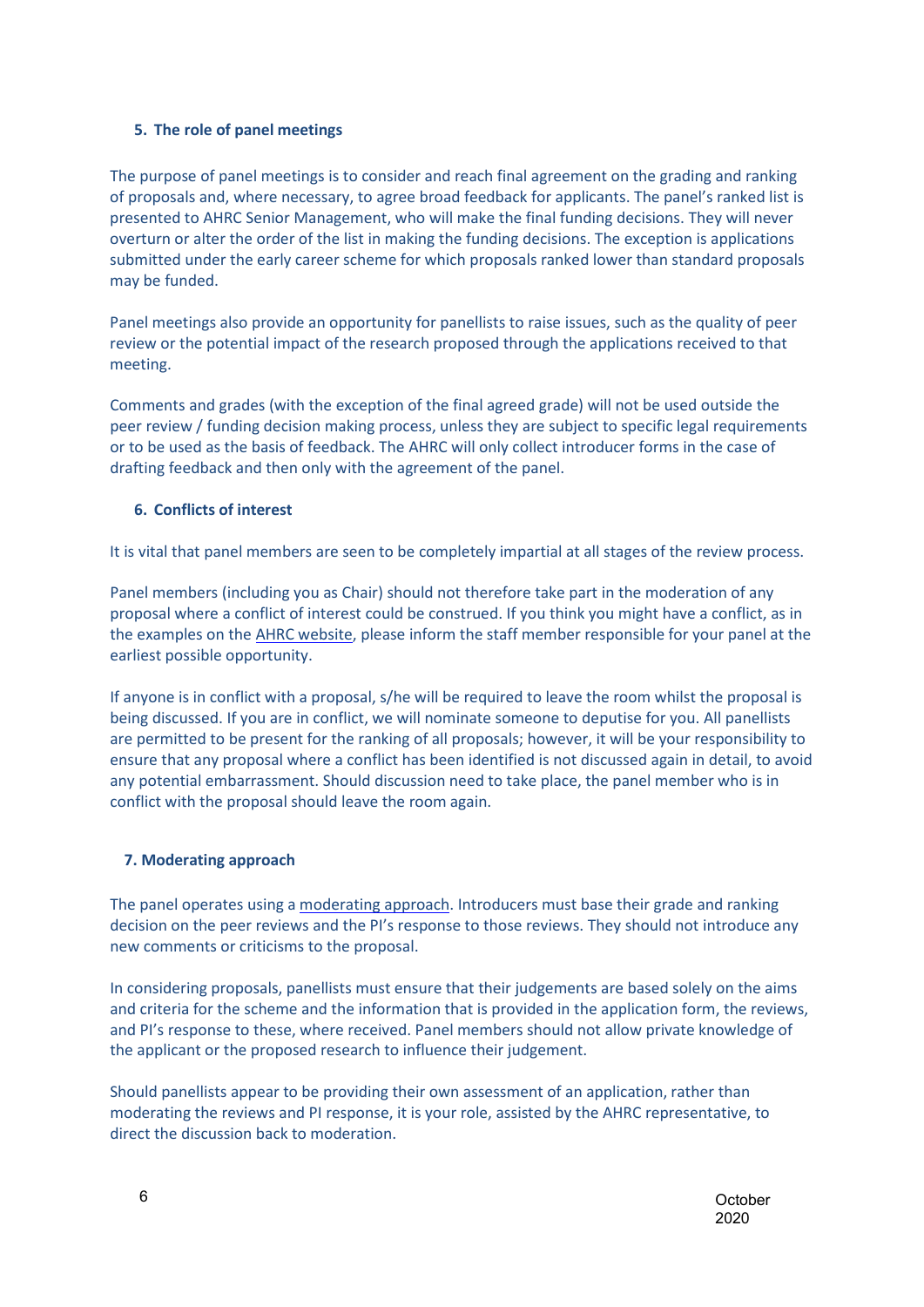#### **5. The role of panel meetings**

<span id="page-5-0"></span>The purpose of panel meetings is to consider and reach final agreement on the grading and ranking of proposals and, where necessary, to agree broad feedback for applicants. The panel's ranked list is presented to AHRC Senior Management, who will make the final funding decisions. They will never overturn or alter the order of the list in making the funding decisions. The exception is applications submitted under the early career scheme for which proposals ranked lower than standard proposals may be funded.

Panel meetings also provide an opportunity for panellists to raise issues, such as the quality of peer review or the potential impact of the research proposed through the applications received to that meeting.

Comments and grades (with the exception of the final agreed grade) will not be used outside the peer review / funding decision making process, unless they are subject to specific legal requirements or to be used as the basis of feedback. The AHRC will only collect introducer forms in the case of drafting feedback and then only with the agreement of the panel.

#### **6. Conflicts of interest**

<span id="page-5-1"></span>It is vital that panel members are seen to be completely impartial at all stages of the review process.

Panel members (including you as Chair) should not therefore take part in the moderation of any proposal where a conflict of interest could be construed. If you think you might have a conflict, as in the examples on th[e AHRC website, p](http://www.ahrc.ac.uk/peerreview/resources/reviewprocess/reviewerguidance/conflictsofinterest/)lease inform the staff member responsible for your panel at the earliest possible opportunity.

If anyone is in conflict with a proposal, s/he will be required to leave the room whilst the proposal is being discussed. If you are in conflict, we will nominate someone to deputise for you. All panellists are permitted to be present for the ranking of all proposals; however, it will be your responsibility to ensure that any proposal where a conflict has been identified is not discussed again in detail, to avoid any potential embarrassment. Should discussion need to take place, the panel member who is in conflict with the proposal should leave the room again.

#### <span id="page-5-2"></span>**7. Moderating approach**

The panel operates using a [moderating approach. I](http://www.ahrc.ac.uk/peerreview/peer-review-handbook/panels/panel-overview/)ntroducers must base their grade and ranking decision on the peer reviews and the PI's response to those reviews. They should not introduce any new comments or criticisms to the proposal.

In considering proposals, panellists must ensure that their judgements are based solely on the aims and criteria for the scheme and the information that is provided in the application form, the reviews, and PI's response to these, where received. Panel members should not allow private knowledge of the applicant or the proposed research to influence their judgement.

Should panellists appear to be providing their own assessment of an application, rather than moderating the reviews and PI response, it is your role, assisted by the AHRC representative, to direct the discussion back to moderation.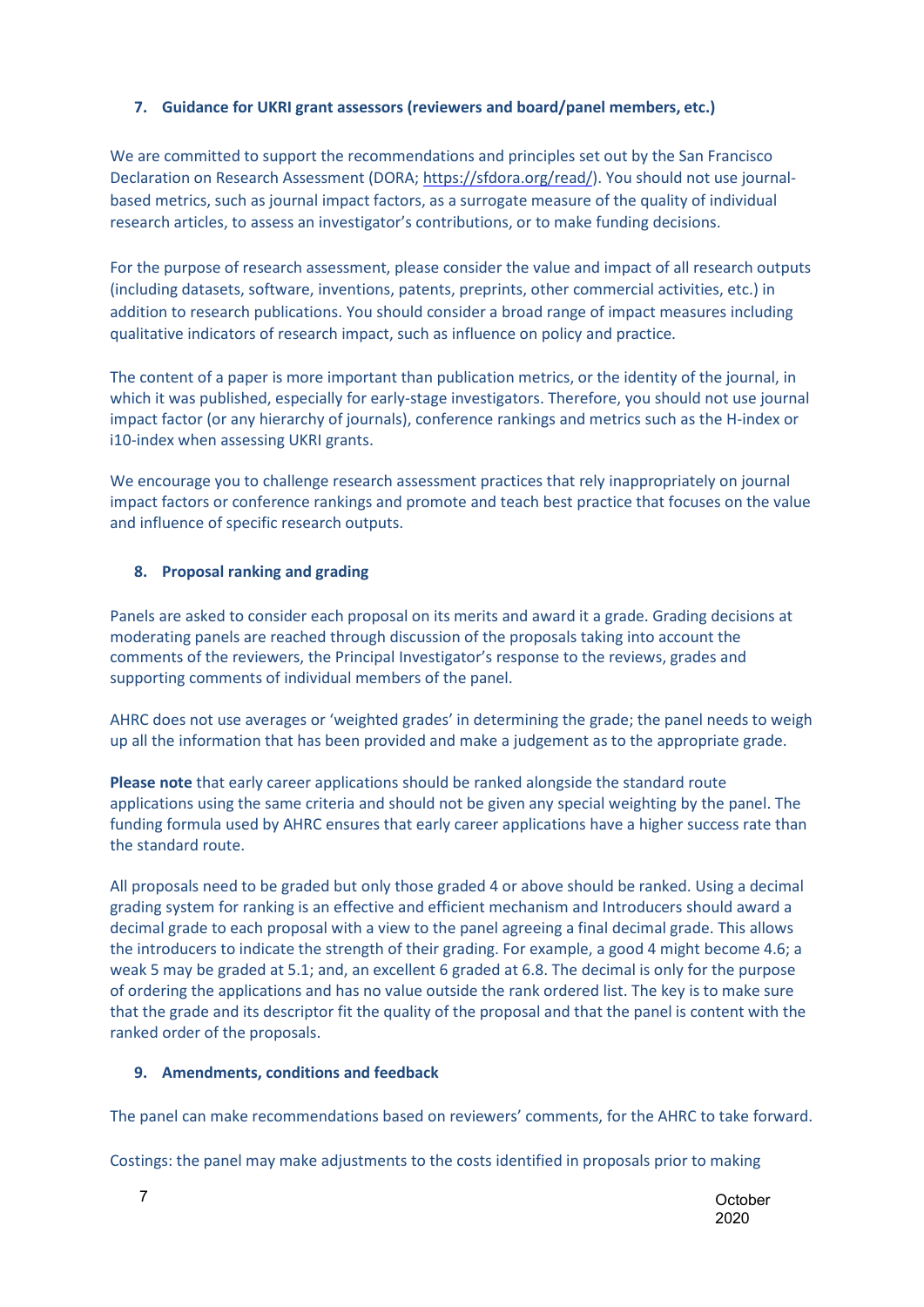## <span id="page-6-0"></span>**7. Guidance for UKRI grant assessors (reviewers and board/panel members, etc.)**

We are committed to support the recommendations and principles set out by the San Francisco Declaration on Research Assessment (DORA[; https://sfdora.org/read/\)](https://sfdora.org/read/). You should not use journalbased metrics, such as journal impact factors, as a surrogate measure of the quality of individual research articles, to assess an investigator's contributions, or to make funding decisions.

For the purpose of research assessment, please consider the value and impact of all research outputs (including datasets, software, inventions, patents, preprints, other commercial activities, etc.) in addition to research publications. You should consider a broad range of impact measures including qualitative indicators of research impact, such as influence on policy and practice.

The content of a paper is more important than publication metrics, or the identity of the journal, in which it was published, especially for early-stage investigators. Therefore, you should not use journal impact factor (or any hierarchy of journals), conference rankings and metrics such as the H-index or i10-index when assessing UKRI grants.

We encourage you to challenge research assessment practices that rely inappropriately on journal impact factors or conference rankings and promote and teach best practice that focuses on the value and influence of specific research outputs.

#### **8. Proposal ranking and grading**

<span id="page-6-1"></span>Panels are asked to consider each proposal on its merits and award it a grade. Grading decisions at moderating panels are reached through discussion of the proposals taking into account the comments of the reviewers, the Principal Investigator's response to the reviews, grades and supporting comments of individual members of the panel.

AHRC does not use averages or 'weighted grades' in determining the grade; the panel needs to weigh up all the information that has been provided and make a judgement as to the appropriate grade.

**Please note** that early career applications should be ranked alongside the standard route applications using the same criteria and should not be given any special weighting by the panel. The funding formula used by AHRC ensures that early career applications have a higher success rate than the standard route.

All proposals need to be graded but only those graded 4 or above should be ranked. Using a decimal grading system for ranking is an effective and efficient mechanism and Introducers should award a decimal grade to each proposal with a view to the panel agreeing a final decimal grade. This allows the introducers to indicate the strength of their grading. For example, a good 4 might become 4.6; a weak 5 may be graded at 5.1; and, an excellent 6 graded at 6.8. The decimal is only for the purpose of ordering the applications and has no value outside the rank ordered list. The key is to make sure that the grade and its descriptor fit the quality of the proposal and that the panel is content with the ranked order of the proposals.

## **9. Amendments, conditions and feedback**

<span id="page-6-2"></span>The panel can make recommendations based on reviewers' comments, for the AHRC to take forward.

Costings: the panel may make adjustments to the costs identified in proposals prior to making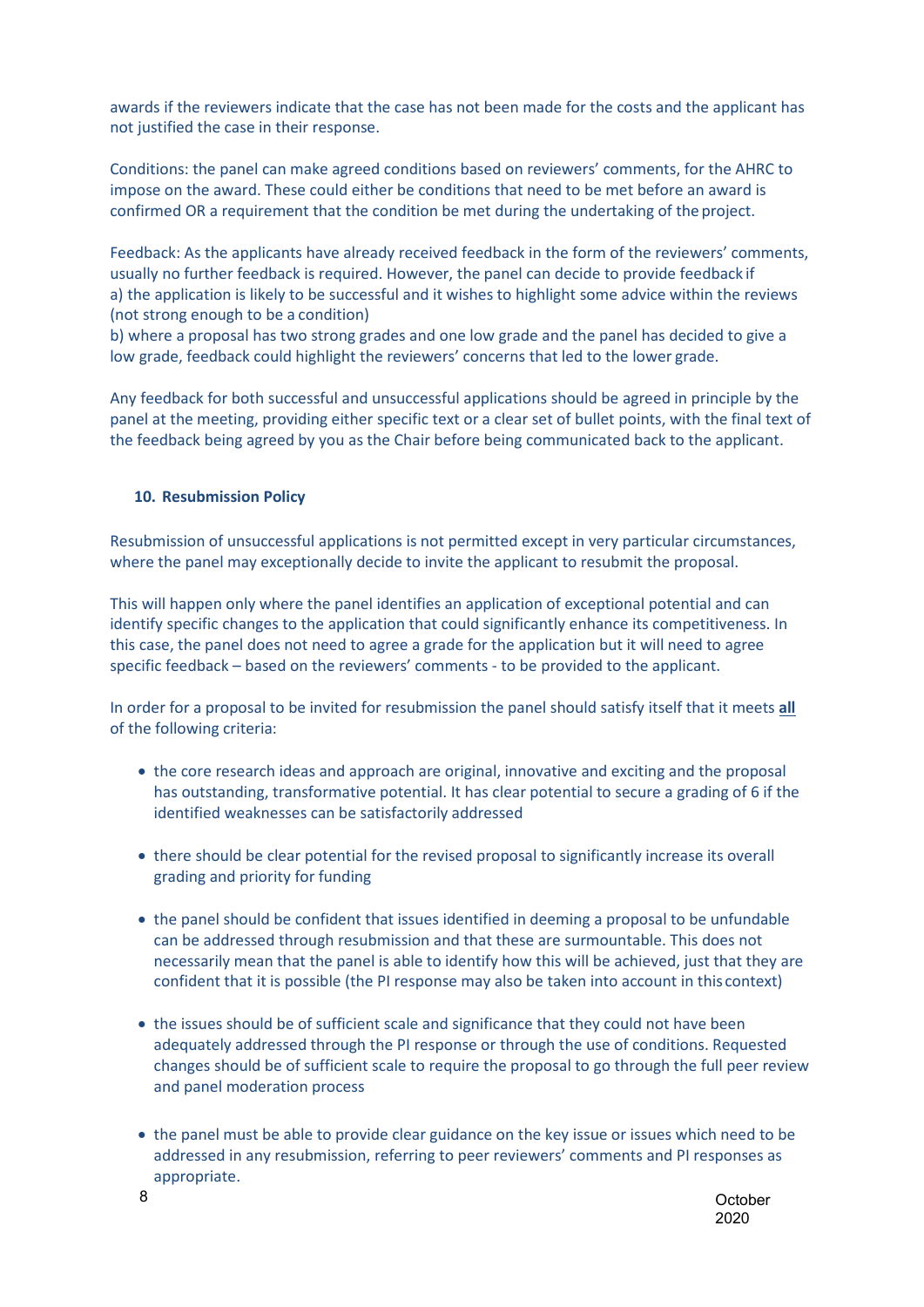awards if the reviewers indicate that the case has not been made for the costs and the applicant has not justified the case in their response.

Conditions: the panel can make agreed conditions based on reviewers' comments, for the AHRC to impose on the award. These could either be conditions that need to be met before an award is confirmed OR a requirement that the condition be met during the undertaking of the project.

Feedback: As the applicants have already received feedback in the form of the reviewers' comments, usually no further feedback is required. However, the panel can decide to provide feedback if a) the application is likely to be successful and it wishes to highlight some advice within the reviews (not strong enough to be a condition)

b) where a proposal has two strong grades and one low grade and the panel has decided to give a low grade, feedback could highlight the reviewers' concerns that led to the lower grade.

Any feedback for both successful and unsuccessful applications should be agreed in principle by the panel at the meeting, providing either specific text or a clear set of bullet points, with the final text of the feedback being agreed by you as the Chair before being communicated back to the applicant.

#### **10. Resubmission Policy**

<span id="page-7-0"></span>Resubmission of unsuccessful applications is not permitted except in very particular circumstances, where the panel may exceptionally decide to invite the applicant to resubmit the proposal.

This will happen only where the panel identifies an application of exceptional potential and can identify specific changes to the application that could significantly enhance its competitiveness. In this case, the panel does not need to agree a grade for the application but it will need to agree specific feedback – based on the reviewers' comments - to be provided to the applicant.

In order for a proposal to be invited for resubmission the panel should satisfy itself that it meets **all** of the following criteria:

- the core research ideas and approach are original, innovative and exciting and the proposal has outstanding, transformative potential. It has clear potential to secure a grading of 6 if the identified weaknesses can be satisfactorily addressed
- there should be clear potential for the revised proposal to significantly increase its overall grading and priority for funding
- the panel should be confident that issues identified in deeming a proposal to be unfundable can be addressed through resubmission and that these are surmountable. This does not necessarily mean that the panel is able to identify how this will be achieved, just that they are confident that it is possible (the PI response may also be taken into account in this context)
- the issues should be of sufficient scale and significance that they could not have been adequately addressed through the PI response or through the use of conditions. Requested changes should be of sufficient scale to require the proposal to go through the full peer review and panel moderation process
- the panel must be able to provide clear guidance on the key issue or issues which need to be addressed in any resubmission, referring to peer reviewers' comments and PI responses as appropriate.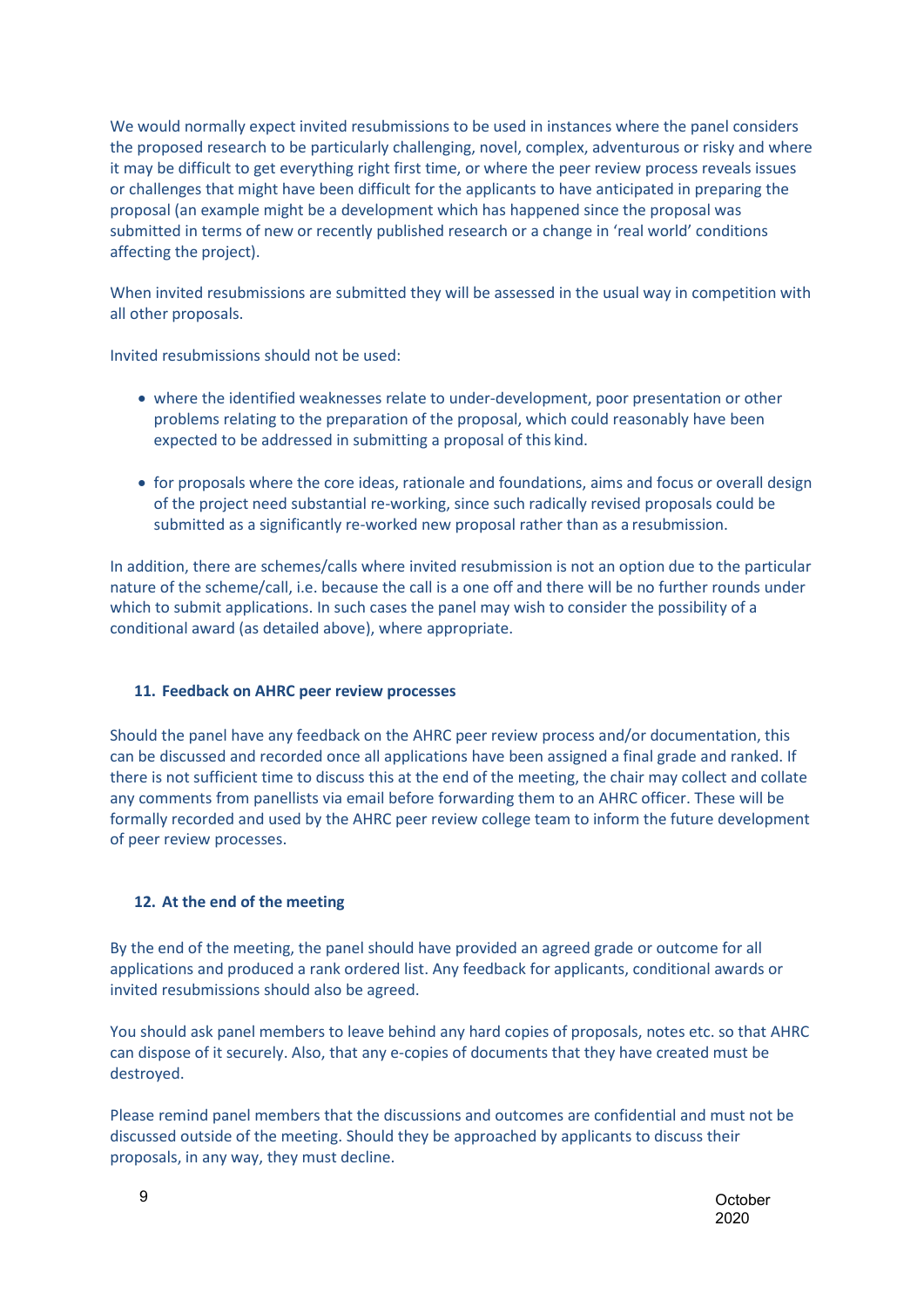We would normally expect invited resubmissions to be used in instances where the panel considers the proposed research to be particularly challenging, novel, complex, adventurous or risky and where it may be difficult to get everything right first time, or where the peer review process reveals issues or challenges that might have been difficult for the applicants to have anticipated in preparing the proposal (an example might be a development which has happened since the proposal was submitted in terms of new or recently published research or a change in 'real world' conditions affecting the project).

When invited resubmissions are submitted they will be assessed in the usual way in competition with all other proposals.

Invited resubmissions should not be used:

- where the identified weaknesses relate to under-development, poor presentation or other problems relating to the preparation of the proposal, which could reasonably have been expected to be addressed in submitting a proposal of this kind.
- for proposals where the core ideas, rationale and foundations, aims and focus or overall design of the project need substantial re-working, since such radically revised proposals could be submitted as a significantly re-worked new proposal rather than as a resubmission.

In addition, there are schemes/calls where invited resubmission is not an option due to the particular nature of the scheme/call, i.e. because the call is a one off and there will be no further rounds under which to submit applications. In such cases the panel may wish to consider the possibility of a conditional award (as detailed above), where appropriate.

## **11. Feedback on AHRC peer review processes**

<span id="page-8-0"></span>Should the panel have any feedback on the AHRC peer review process and/or documentation, this can be discussed and recorded once all applications have been assigned a final grade and ranked. If there is not sufficient time to discuss this at the end of the meeting, the chair may collect and collate any comments from panellists via email before forwarding them to an AHRC officer. These will be formally recorded and used by the AHRC peer review college team to inform the future development of peer review processes.

## **12. At the end of the meeting**

<span id="page-8-1"></span>By the end of the meeting, the panel should have provided an agreed grade or outcome for all applications and produced a rank ordered list. Any feedback for applicants, conditional awards or invited resubmissions should also be agreed.

You should ask panel members to leave behind any hard copies of proposals, notes etc. so that AHRC can dispose of it securely. Also, that any e-copies of documents that they have created must be destroyed.

Please remind panel members that the discussions and outcomes are confidential and must not be discussed outside of the meeting. Should they be approached by applicants to discuss their proposals, in any way, they must decline.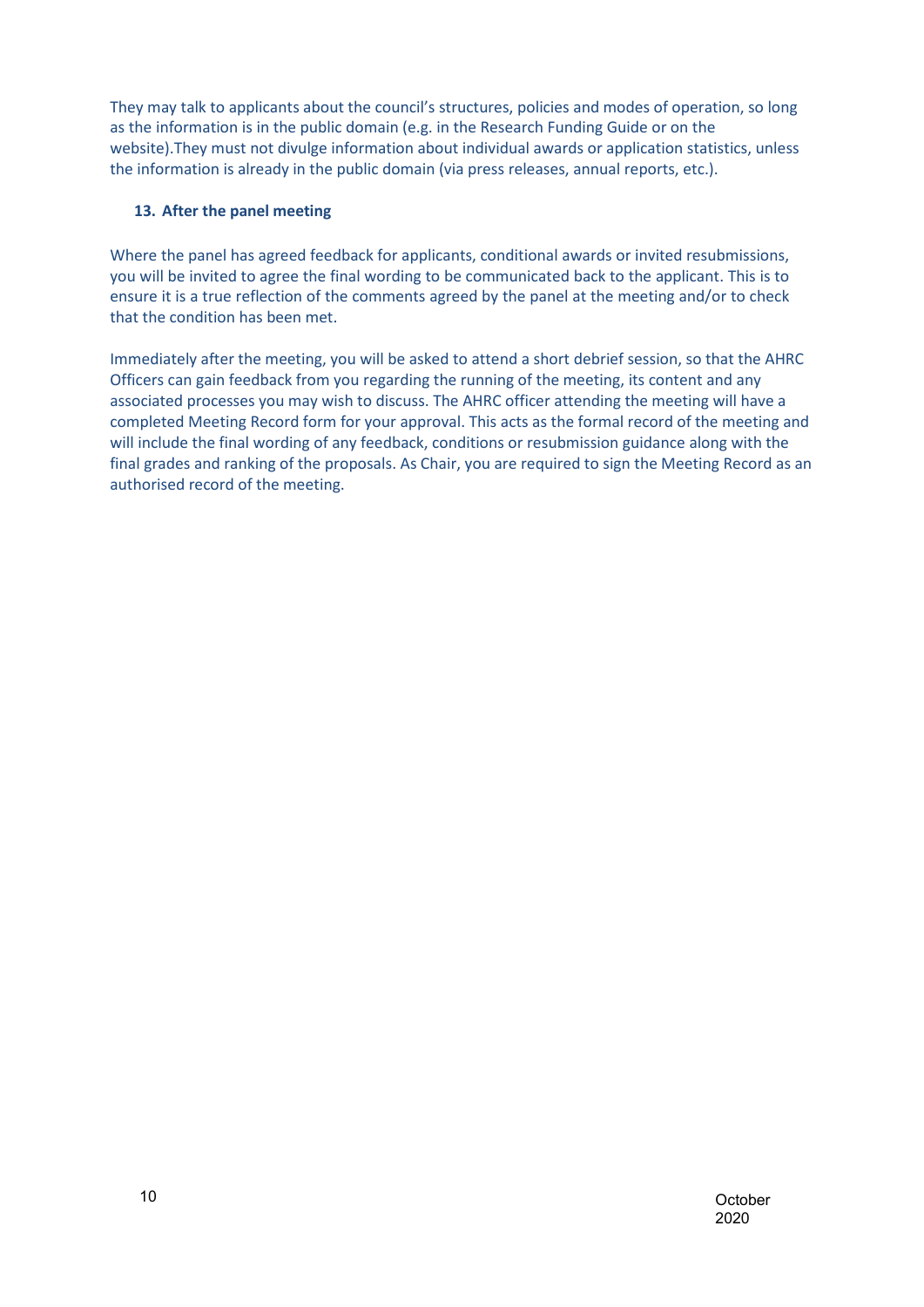They may talk to applicants about the council's structures, policies and modes of operation, so long as the information is in the public domain (e.g. in the Research Funding Guide or on the website).They must not divulge information about individual awards or application statistics, unless the information is already in the public domain (via press releases, annual reports, etc.).

## **13. After the panel meeting**

<span id="page-9-0"></span>Where the panel has agreed feedback for applicants, conditional awards or invited resubmissions, you will be invited to agree the final wording to be communicated back to the applicant. This is to ensure it is a true reflection of the comments agreed by the panel at the meeting and/or to check that the condition has been met.

Immediately after the meeting, you will be asked to attend a short debrief session, so that the AHRC Officers can gain feedback from you regarding the running of the meeting, its content and any associated processes you may wish to discuss. The AHRC officer attending the meeting will have a completed Meeting Record form for your approval. This acts as the formal record of the meeting and will include the final wording of any feedback, conditions or resubmission guidance along with the final grades and ranking of the proposals. As Chair, you are required to sign the Meeting Record as an authorised record of the meeting.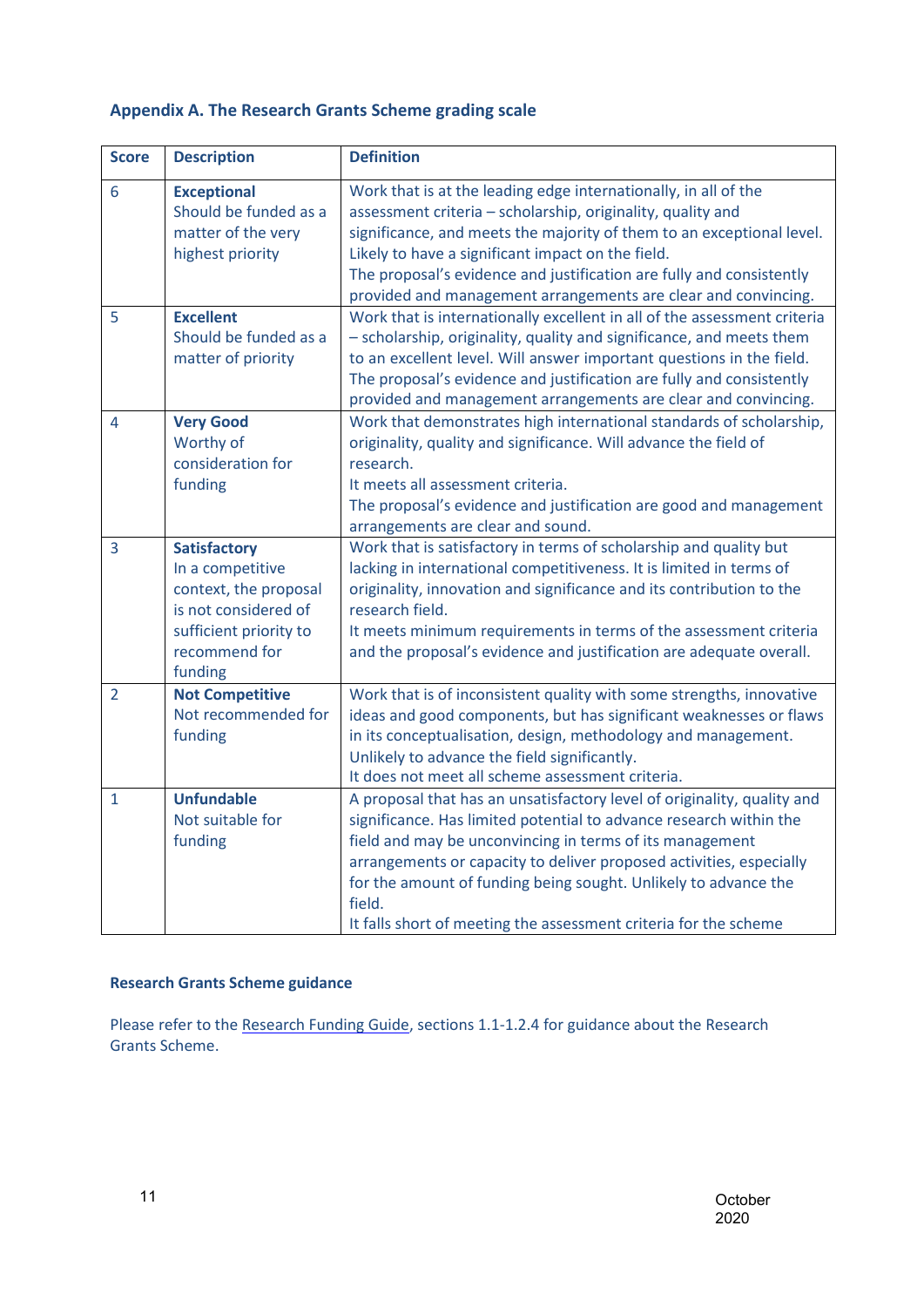## <span id="page-10-0"></span>**Appendix A. The Research Grants Scheme grading scale**

| <b>Score</b>   | <b>Description</b>                                                                                                                             | <b>Definition</b>                                                                                                                                                                                                                                                                                                                                                                                                                 |
|----------------|------------------------------------------------------------------------------------------------------------------------------------------------|-----------------------------------------------------------------------------------------------------------------------------------------------------------------------------------------------------------------------------------------------------------------------------------------------------------------------------------------------------------------------------------------------------------------------------------|
| 6              | <b>Exceptional</b><br>Should be funded as a<br>matter of the very<br>highest priority                                                          | Work that is at the leading edge internationally, in all of the<br>assessment criteria - scholarship, originality, quality and<br>significance, and meets the majority of them to an exceptional level.<br>Likely to have a significant impact on the field.<br>The proposal's evidence and justification are fully and consistently<br>provided and management arrangements are clear and convincing.                            |
| 5              | <b>Excellent</b><br>Should be funded as a<br>matter of priority                                                                                | Work that is internationally excellent in all of the assessment criteria<br>- scholarship, originality, quality and significance, and meets them<br>to an excellent level. Will answer important questions in the field.<br>The proposal's evidence and justification are fully and consistently<br>provided and management arrangements are clear and convincing.                                                                |
| 4              | <b>Very Good</b><br>Worthy of<br>consideration for<br>funding                                                                                  | Work that demonstrates high international standards of scholarship,<br>originality, quality and significance. Will advance the field of<br>research.<br>It meets all assessment criteria.<br>The proposal's evidence and justification are good and management<br>arrangements are clear and sound.                                                                                                                               |
| 3              | <b>Satisfactory</b><br>In a competitive<br>context, the proposal<br>is not considered of<br>sufficient priority to<br>recommend for<br>funding | Work that is satisfactory in terms of scholarship and quality but<br>lacking in international competitiveness. It is limited in terms of<br>originality, innovation and significance and its contribution to the<br>research field.<br>It meets minimum requirements in terms of the assessment criteria<br>and the proposal's evidence and justification are adequate overall.                                                   |
| $\overline{2}$ | <b>Not Competitive</b><br>Not recommended for<br>funding                                                                                       | Work that is of inconsistent quality with some strengths, innovative<br>ideas and good components, but has significant weaknesses or flaws<br>in its conceptualisation, design, methodology and management.<br>Unlikely to advance the field significantly.<br>It does not meet all scheme assessment criteria.                                                                                                                   |
| $\mathbf{1}$   | <b>Unfundable</b><br>Not suitable for<br>funding                                                                                               | A proposal that has an unsatisfactory level of originality, quality and<br>significance. Has limited potential to advance research within the<br>field and may be unconvincing in terms of its management<br>arrangements or capacity to deliver proposed activities, especially<br>for the amount of funding being sought. Unlikely to advance the<br>field.<br>It falls short of meeting the assessment criteria for the scheme |

## <span id="page-10-1"></span>**Research Grants Scheme guidance**

Please refer to the [Research Funding Guide, s](http://www.ahrc.ac.uk/documents/guides/research-funding-guide/)ections 1.1-1.2.4 for guidance about the Research Grants Scheme.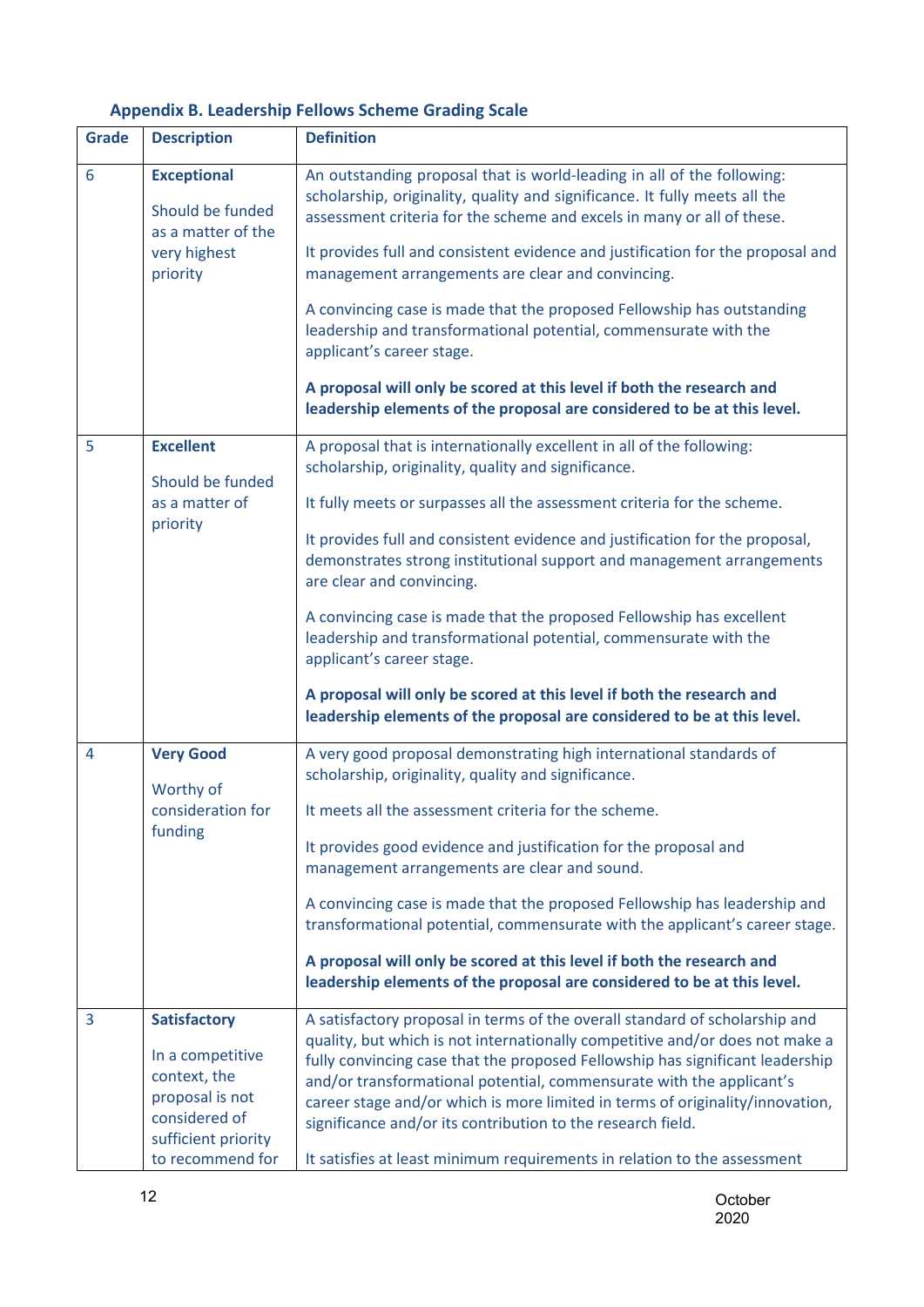## **Appendix B. Leadership Fellows Scheme Grading Scale**

<span id="page-11-0"></span>

| <b>Grade</b>   | <b>Description</b>                                                                          | <b>Definition</b>                                                                                                                                                                                                                                                                                                                                                                     |
|----------------|---------------------------------------------------------------------------------------------|---------------------------------------------------------------------------------------------------------------------------------------------------------------------------------------------------------------------------------------------------------------------------------------------------------------------------------------------------------------------------------------|
| 6              | <b>Exceptional</b><br>Should be funded<br>as a matter of the<br>very highest<br>priority    | An outstanding proposal that is world-leading in all of the following:<br>scholarship, originality, quality and significance. It fully meets all the<br>assessment criteria for the scheme and excels in many or all of these.                                                                                                                                                        |
|                |                                                                                             | It provides full and consistent evidence and justification for the proposal and<br>management arrangements are clear and convincing.                                                                                                                                                                                                                                                  |
|                |                                                                                             | A convincing case is made that the proposed Fellowship has outstanding<br>leadership and transformational potential, commensurate with the<br>applicant's career stage.                                                                                                                                                                                                               |
|                |                                                                                             | A proposal will only be scored at this level if both the research and<br>leadership elements of the proposal are considered to be at this level.                                                                                                                                                                                                                                      |
| 5              | <b>Excellent</b><br>Should be funded<br>as a matter of<br>priority                          | A proposal that is internationally excellent in all of the following:<br>scholarship, originality, quality and significance.                                                                                                                                                                                                                                                          |
|                |                                                                                             | It fully meets or surpasses all the assessment criteria for the scheme.                                                                                                                                                                                                                                                                                                               |
|                |                                                                                             | It provides full and consistent evidence and justification for the proposal,<br>demonstrates strong institutional support and management arrangements<br>are clear and convincing.                                                                                                                                                                                                    |
|                |                                                                                             | A convincing case is made that the proposed Fellowship has excellent<br>leadership and transformational potential, commensurate with the<br>applicant's career stage.                                                                                                                                                                                                                 |
|                |                                                                                             | A proposal will only be scored at this level if both the research and<br>leadership elements of the proposal are considered to be at this level.                                                                                                                                                                                                                                      |
| $\overline{4}$ | <b>Very Good</b><br>Worthy of<br>consideration for<br>funding                               | A very good proposal demonstrating high international standards of<br>scholarship, originality, quality and significance.                                                                                                                                                                                                                                                             |
|                |                                                                                             | It meets all the assessment criteria for the scheme.                                                                                                                                                                                                                                                                                                                                  |
|                |                                                                                             | It provides good evidence and justification for the proposal and<br>management arrangements are clear and sound.                                                                                                                                                                                                                                                                      |
|                |                                                                                             | A convincing case is made that the proposed Fellowship has leadership and<br>transformational potential, commensurate with the applicant's career stage.                                                                                                                                                                                                                              |
|                |                                                                                             | A proposal will only be scored at this level if both the research and<br>leadership elements of the proposal are considered to be at this level.                                                                                                                                                                                                                                      |
| 3              | <b>Satisfactory</b>                                                                         | A satisfactory proposal in terms of the overall standard of scholarship and                                                                                                                                                                                                                                                                                                           |
|                | In a competitive<br>context, the<br>proposal is not<br>considered of<br>sufficient priority | quality, but which is not internationally competitive and/or does not make a<br>fully convincing case that the proposed Fellowship has significant leadership<br>and/or transformational potential, commensurate with the applicant's<br>career stage and/or which is more limited in terms of originality/innovation,<br>significance and/or its contribution to the research field. |
|                | to recommend for                                                                            | It satisfies at least minimum requirements in relation to the assessment                                                                                                                                                                                                                                                                                                              |